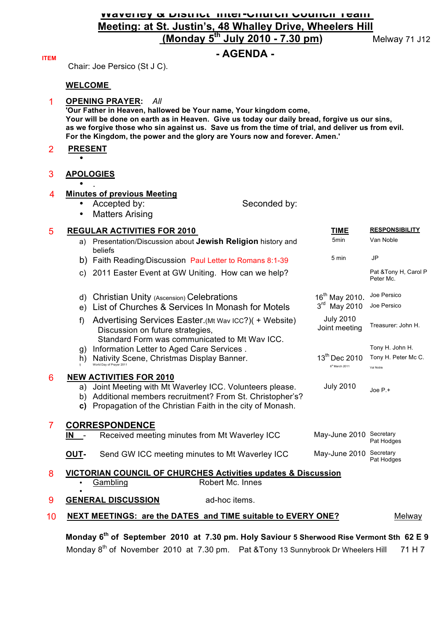## **Waverley & District Inter-Church Council Team Meeting: at St. Justin's, 48 Whalley Drive, Wheelers Hill (Monday 5th July 2010 - 7.30 pm)** Melway 71 J12

## **ITEM - AGENDA -**

Chair: Joe Persico (St J C).

### **WELCOME**

#### 1 **OPENING PRAYER:** *All*

**'Our Father in Heaven, hallowed be Your name, Your kingdom come, Your will be done on earth as in Heaven. Give us today our daily bread, forgive us our sins, as we forgive those who sin against us. Save us from the time of trial, and deliver us from evil. For the Kingdom, the power and the glory are Yours now and forever. Amen.'**

### 2 **PRESENT** •

3 **APOLOGIES**

#### • . 4 **Minutes of previous Meeting**

## • Accepted by: Seconded by:

**Matters Arising** 

#### 5 **REGULAR ACTIVITIES FOR 2010 TIME RESPONSIBILITY** a) Presentation/Discussion about **Jewish Religion** history and beliefs 5min Van Noble b) Faith Reading/Discussion Paul Letter to Romans 8:1-39 5 min JP c) 2011 Easter Event at GW Uniting. How can we help? Pat &Tony H, Carol P Peter Mc. d) Christian Unity (Ascension) Celebrations 16<sup>th</sup> May 2010. Joe Persico<br>
e) List of Churches & Services In Monash for Motels 3<sup>rd</sup> May 2010 Joe Persico e) List of Churches & Services In Monash for Motels 3<sup>rd</sup> May 2010 Joe Persico f) Advertising Services Easter.(Mt Wav ICC?)( + Website) Discussion on future strategies, Standard Form was communicated to Mt Wav ICC. July 2010 Joint meeting Treasurer: John H. g) Information Letter to Aged Care Services . The Mateur of the Mateus Tony H. John H. h) Nativity Scene, Christmas Display Banner. i) World Day of Prayer 2011  $13^{\text{th}}$  Dec 2010  $6<sup>th</sup>$  March 2011 Tony H. Peter Mc C. Val Noble 6 **NEW ACTIVITIES FOR 2010** a) Joint Meeting with Mt Waverley ICC. Volunteers please. b) Additional members recruitment? From St. Christopher's? **c)** Propagation of the Christian Faith in the city of Monash. July 2010  $\frac{1}{\sqrt{10}}$  Dep P.+ **CORRESPONDENCE IN** - Received meeting minutes from Mt Waverley ICC May-June 2010 Secretary Pat Hodges 7 **OUT-** Send GW ICC meeting minutes to Mt Waverley ICC May-June 2010 Secretary Pat Hodges 8 **VICTORIAN COUNCIL OF CHURCHES Activities updates & Discussion** Gambling **Example 18 Robert Mc. Innes** • **9 GENERAL DISCUSSION** ad-hoc items. 10 **NEXT MEETINGS: are the DATES and TIME suitable to EVERY ONE?** Melway

 **Monday 6th of September 2010 at 7.30 pm. Holy Saviour 5 Sherwood Rise Vermont Sth 62 E 9** Mondav 8<sup>th</sup> of November 2010 at 7.30 pm. Pat &Tony 13 Sunnybrook Dr Wheelers Hill 71 H 7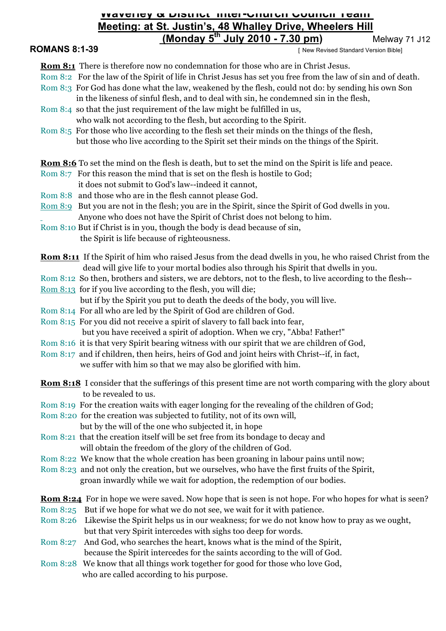## **Waverley & District Inter-Church Council Team Meeting: at St. Justin's, 48 Whalley Drive, Wheelers Hill (Monday 5th July 2010 - 7.30 pm)** Melway 71 J12

**ROMANS 8:1-39 INCOMANS 8:1-39 INCOMANS 8:1-39** 

**Rom 8:1** There is therefore now no condemnation for those who are in Christ Jesus.

- Rom 8:2 For the law of the Spirit of life in Christ Jesus has set you free from the law of sin and of death.
- Rom 8:3 For God has done what the law, weakened by the flesh, could not do: by sending his own Son
- in the likeness of sinful flesh, and to deal with sin, he condemned sin in the flesh, Rom 8:4 so that the just requirement of the law might be fulfilled in us,

who walk not according to the flesh, but according to the Spirit.

- Rom 8:5 For those who live according to the flesh set their minds on the things of the flesh, but those who live according to the Spirit set their minds on the things of the Spirit.
- **Rom 8:6** To set the mind on the flesh is death, but to set the mind on the Spirit is life and peace.
- Rom 8:7 For this reason the mind that is set on the flesh is hostile to God;
- it does not submit to God's law--indeed it cannot,
- Rom 8:8 and those who are in the flesh cannot please God.
- Rom 8:9 But you are not in the flesh; you are in the Spirit, since the Spirit of God dwells in you. Anyone who does not have the Spirit of Christ does not belong to him.

Rom 8:10 But if Christ is in you, though the body is dead because of sin, the Spirit is life because of righteousness.

- **Rom 8:11** If the Spirit of him who raised Jesus from the dead dwells in you, he who raised Christ from the dead will give life to your mortal bodies also through his Spirit that dwells in you.
- Rom 8:12 So then, brothers and sisters, we are debtors, not to the flesh, to live according to the flesh--
- Rom 8:13 for if you live according to the flesh, you will die;
- but if by the Spirit you put to death the deeds of the body, you will live.
- Rom 8:14 For all who are led by the Spirit of God are children of God.
- Rom 8:15 For you did not receive a spirit of slavery to fall back into fear,

but you have received a spirit of adoption. When we cry, "Abba! Father!"

- Rom 8:16 it is that very Spirit bearing witness with our spirit that we are children of God,
- Rom 8:17 and if children, then heirs, heirs of God and joint heirs with Christ--if, in fact, we suffer with him so that we may also be glorified with him.
- **Rom 8:18** I consider that the sufferings of this present time are not worth comparing with the glory about to be revealed to us.
- Rom 8:19 For the creation waits with eager longing for the revealing of the children of God;
- Rom 8:20 for the creation was subjected to futility, not of its own will,
- but by the will of the one who subjected it, in hope Rom 8:21 that the creation itself will be set free from its bondage to decay and
	- will obtain the freedom of the glory of the children of God.
- Rom 8:22 We know that the whole creation has been groaning in labour pains until now;
- Rom 8:23 and not only the creation, but we ourselves, who have the first fruits of the Spirit, groan inwardly while we wait for adoption, the redemption of our bodies.

**Rom 8:24** For in hope we were saved. Now hope that is seen is not hope. For who hopes for what is seen?

- Rom 8:25 But if we hope for what we do not see, we wait for it with patience.
- Rom 8:26 Likewise the Spirit helps us in our weakness; for we do not know how to pray as we ought, but that very Spirit intercedes with sighs too deep for words.
- Rom 8:27 And God, who searches the heart, knows what is the mind of the Spirit, because the Spirit intercedes for the saints according to the will of God.
- Rom 8:28 We know that all things work together for good for those who love God, who are called according to his purpose.